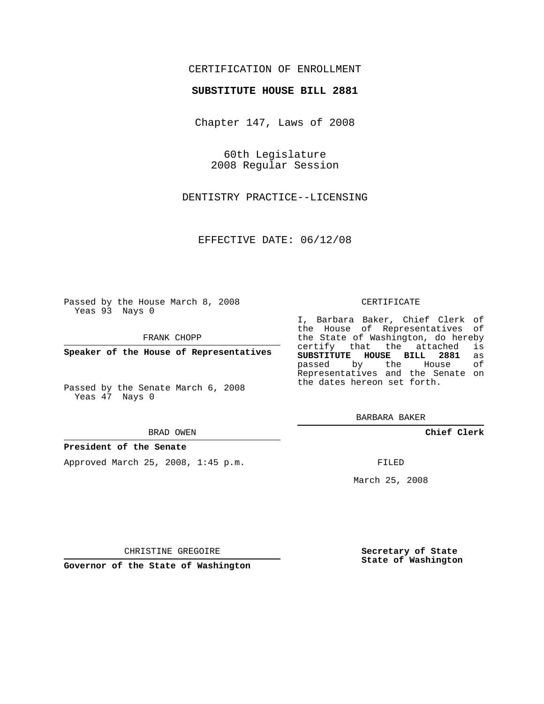## CERTIFICATION OF ENROLLMENT

## **SUBSTITUTE HOUSE BILL 2881**

Chapter 147, Laws of 2008

60th Legislature 2008 Regular Session

DENTISTRY PRACTICE--LICENSING

EFFECTIVE DATE: 06/12/08

Passed by the House March 8, 2008 Yeas 93 Nays 0

FRANK CHOPP

**Speaker of the House of Representatives**

Passed by the Senate March 6, 2008 Yeas 47 Nays 0

#### BRAD OWEN

### **President of the Senate**

Approved March 25, 2008, 1:45 p.m.

#### CERTIFICATE

I, Barbara Baker, Chief Clerk of the House of Representatives of the State of Washington, do hereby<br>certify that the attached is certify that the attached **SUBSTITUTE HOUSE BILL 2881** as passed by the House Representatives and the Senate on the dates hereon set forth.

BARBARA BAKER

**Chief Clerk**

FILED

March 25, 2008

CHRISTINE GREGOIRE

**Governor of the State of Washington**

**Secretary of State State of Washington**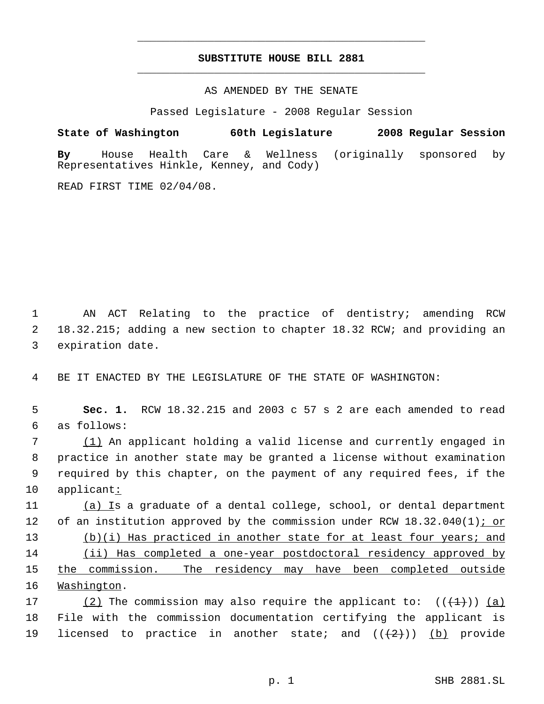# **SUBSTITUTE HOUSE BILL 2881** \_\_\_\_\_\_\_\_\_\_\_\_\_\_\_\_\_\_\_\_\_\_\_\_\_\_\_\_\_\_\_\_\_\_\_\_\_\_\_\_\_\_\_\_\_

\_\_\_\_\_\_\_\_\_\_\_\_\_\_\_\_\_\_\_\_\_\_\_\_\_\_\_\_\_\_\_\_\_\_\_\_\_\_\_\_\_\_\_\_\_

AS AMENDED BY THE SENATE

Passed Legislature - 2008 Regular Session

**State of Washington 60th Legislature 2008 Regular Session By** House Health Care & Wellness (originally sponsored by Representatives Hinkle, Kenney, and Cody)

READ FIRST TIME 02/04/08.

 1 AN ACT Relating to the practice of dentistry; amending RCW 2 18.32.215; adding a new section to chapter 18.32 RCW; and providing an 3 expiration date.

4 BE IT ENACTED BY THE LEGISLATURE OF THE STATE OF WASHINGTON:

 5 **Sec. 1.** RCW 18.32.215 and 2003 c 57 s 2 are each amended to read 6 as follows:

 (1) An applicant holding a valid license and currently engaged in practice in another state may be granted a license without examination required by this chapter, on the payment of any required fees, if the applicant:

11 (a) Is a graduate of a dental college, school, or dental department 12 of an institution approved by the commission under RCW 18.32.040(1)<u>; or</u> 13 (b)(i) Has practiced in another state for at least four years; and 14 (ii) Has completed a one-year postdoctoral residency approved by 15 the commission. The residency may have been completed outside 16 Washington.

17 (2) The commission may also require the applicant to:  $((+1)^{n})$  (a) 18 File with the commission documentation certifying the applicant is 19 licensed to practice in another state; and  $((2+))$  (b) provide